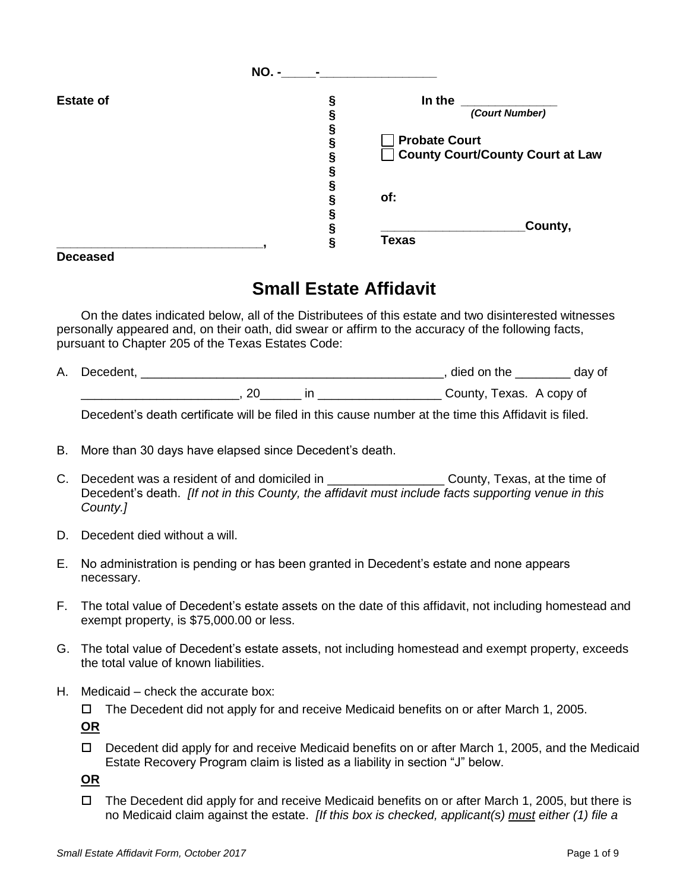|                  | <b>NO. -</b> |   |                                                                 |
|------------------|--------------|---|-----------------------------------------------------------------|
| <b>Estate of</b> |              |   | In the                                                          |
|                  |              |   | (Court Number)                                                  |
|                  |              |   | <b>Probate Court</b><br><b>County Court/County Court at Law</b> |
|                  |              |   | of:                                                             |
|                  |              | § | County,<br><b>Texas</b>                                         |
| Deceased         |              |   |                                                                 |

# **Small Estate Affidavit**

On the dates indicated below, all of the Distributees of this estate and two disinterested witnesses personally appeared and, on their oath, did swear or affirm to the accuracy of the following facts, pursuant to Chapter 205 of the Texas Estates Code:

| A. | Decedent. |    |  | died on the              | dav of |
|----|-----------|----|--|--------------------------|--------|
|    |           | ∠⊾ |  | County, Texas. A copy of |        |

Decedent's death certificate will be filed in this cause number at the time this Affidavit is filed.

- B. More than 30 days have elapsed since Decedent's death.
- C. Decedent was a resident of and domiciled in \_\_\_\_\_\_\_\_\_\_\_\_\_\_\_\_\_\_\_\_\_\_County, Texas, at the time of Decedent's death. *[If not in this County, the affidavit must include facts supporting venue in this County.]*
- D. Decedent died without a will.
- E. No administration is pending or has been granted in Decedent's estate and none appears necessary.
- F. The total value of Decedent's estate assets on the date of this affidavit, not including homestead and exempt property, is \$75,000.00 or less.
- G. The total value of Decedent's estate assets, not including homestead and exempt property, exceeds the total value of known liabilities.
- H. Medicaid check the accurate box:

 $\Box$  The Decedent did not apply for and receive Medicaid benefits on or after March 1, 2005.

**OR**

 Decedent did apply for and receive Medicaid benefits on or after March 1, 2005, and the Medicaid Estate Recovery Program claim is listed as a liability in section "J" below.

**OR**

 $\Box$  The Decedent did apply for and receive Medicaid benefits on or after March 1, 2005, but there is no Medicaid claim against the estate. *[If this box is checked, applicant(s) must either (1) file a*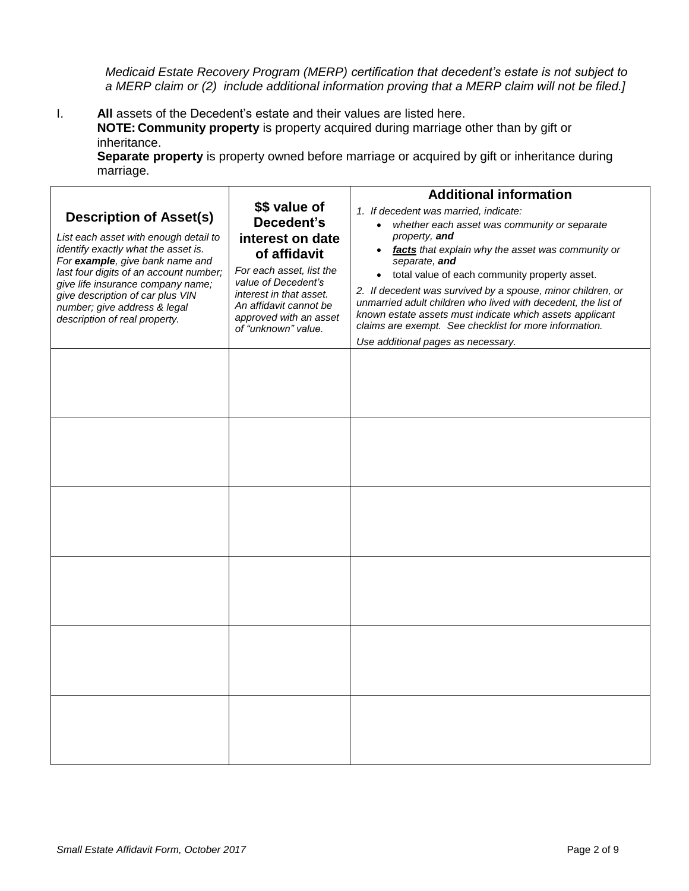*Medicaid Estate Recovery Program (MERP) certification that decedent's estate is not subject to a MERP claim or (2) include additional information proving that a MERP claim will not be filed.]*

I. **All** assets of the Decedent's estate and their values are listed here.

**NOTE: Community property** is property acquired during marriage other than by gift or inheritance.

**Separate property** is property owned before marriage or acquired by gift or inheritance during marriage.

|                                                                                                                                                                                                                                                                                                                                       |                                                                                                                                                                                                                          | <b>Additional information</b>                                                                                                                                                                                                                                                                                                                                                                                                                                                                                                            |
|---------------------------------------------------------------------------------------------------------------------------------------------------------------------------------------------------------------------------------------------------------------------------------------------------------------------------------------|--------------------------------------------------------------------------------------------------------------------------------------------------------------------------------------------------------------------------|------------------------------------------------------------------------------------------------------------------------------------------------------------------------------------------------------------------------------------------------------------------------------------------------------------------------------------------------------------------------------------------------------------------------------------------------------------------------------------------------------------------------------------------|
| <b>Description of Asset(s)</b><br>List each asset with enough detail to<br>identify exactly what the asset is.<br>For example, give bank name and<br>last four digits of an account number;<br>give life insurance company name;<br>give description of car plus VIN<br>number; give address & legal<br>description of real property. | \$\$ value of<br>Decedent's<br>interest on date<br>of affidavit<br>For each asset, list the<br>value of Decedent's<br>interest in that asset.<br>An affidavit cannot be<br>approved with an asset<br>of "unknown" value. | 1. If decedent was married, indicate:<br>whether each asset was community or separate<br>property, and<br>• facts that explain why the asset was community or<br>separate, and<br>total value of each community property asset.<br>$\bullet$<br>2. If decedent was survived by a spouse, minor children, or<br>unmarried adult children who lived with decedent, the list of<br>known estate assets must indicate which assets applicant<br>claims are exempt. See checklist for more information.<br>Use additional pages as necessary. |
|                                                                                                                                                                                                                                                                                                                                       |                                                                                                                                                                                                                          |                                                                                                                                                                                                                                                                                                                                                                                                                                                                                                                                          |
|                                                                                                                                                                                                                                                                                                                                       |                                                                                                                                                                                                                          |                                                                                                                                                                                                                                                                                                                                                                                                                                                                                                                                          |
|                                                                                                                                                                                                                                                                                                                                       |                                                                                                                                                                                                                          |                                                                                                                                                                                                                                                                                                                                                                                                                                                                                                                                          |
|                                                                                                                                                                                                                                                                                                                                       |                                                                                                                                                                                                                          |                                                                                                                                                                                                                                                                                                                                                                                                                                                                                                                                          |
|                                                                                                                                                                                                                                                                                                                                       |                                                                                                                                                                                                                          |                                                                                                                                                                                                                                                                                                                                                                                                                                                                                                                                          |
|                                                                                                                                                                                                                                                                                                                                       |                                                                                                                                                                                                                          |                                                                                                                                                                                                                                                                                                                                                                                                                                                                                                                                          |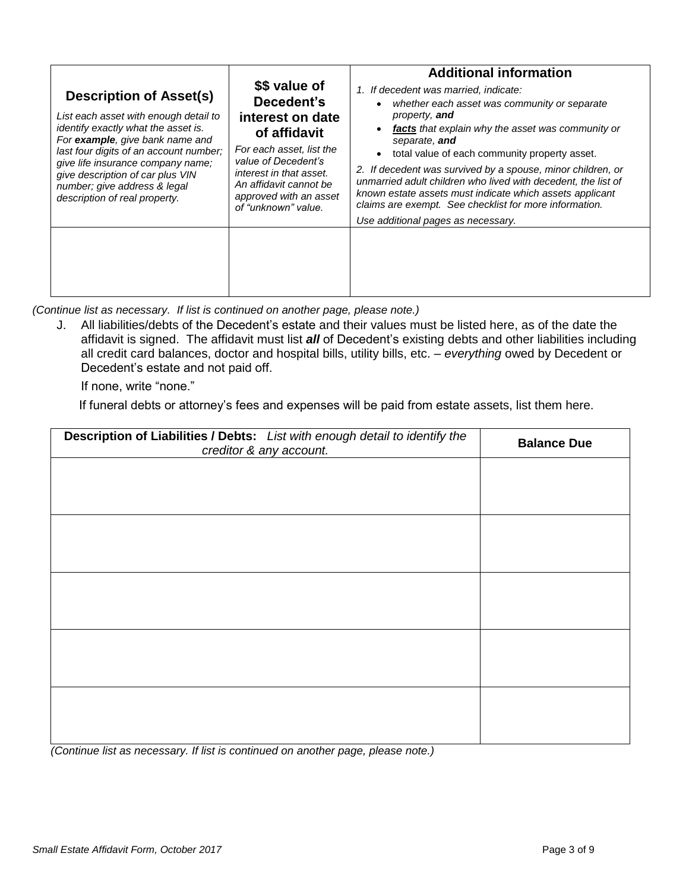|                                                                                                                                                                                                                                                                                                                                       |                                                                                                                                                                                                                          | <b>Additional information</b>                                                                                                                                                                                                                                                                                                                                                                                                                                                                                             |
|---------------------------------------------------------------------------------------------------------------------------------------------------------------------------------------------------------------------------------------------------------------------------------------------------------------------------------------|--------------------------------------------------------------------------------------------------------------------------------------------------------------------------------------------------------------------------|---------------------------------------------------------------------------------------------------------------------------------------------------------------------------------------------------------------------------------------------------------------------------------------------------------------------------------------------------------------------------------------------------------------------------------------------------------------------------------------------------------------------------|
| <b>Description of Asset(s)</b><br>List each asset with enough detail to<br>identify exactly what the asset is.<br>For example, give bank name and<br>last four digits of an account number;<br>give life insurance company name;<br>give description of car plus VIN<br>number; give address & legal<br>description of real property. | \$\$ value of<br>Decedent's<br>interest on date<br>of affidavit<br>For each asset, list the<br>value of Decedent's<br>interest in that asset.<br>An affidavit cannot be<br>approved with an asset<br>of "unknown" value. | 1. If decedent was married, indicate:<br>whether each asset was community or separate<br>property, and<br>facts that explain why the asset was community or<br>separate, and<br>total value of each community property asset.<br>2. If decedent was survived by a spouse, minor children, or<br>unmarried adult children who lived with decedent, the list of<br>known estate assets must indicate which assets applicant<br>claims are exempt. See checklist for more information.<br>Use additional pages as necessary. |
|                                                                                                                                                                                                                                                                                                                                       |                                                                                                                                                                                                                          |                                                                                                                                                                                                                                                                                                                                                                                                                                                                                                                           |

*(Continue list as necessary. If list is continued on another page, please note.)*

J. All liabilities/debts of the Decedent's estate and their values must be listed here, as of the date the affidavit is signed. The affidavit must list *all* of Decedent's existing debts and other liabilities including all credit card balances, doctor and hospital bills, utility bills, etc. – *everything* owed by Decedent or Decedent's estate and not paid off.

If none, write "none."

If funeral debts or attorney's fees and expenses will be paid from estate assets, list them here.

| Description of Liabilities / Debts: List with enough detail to identify the<br>creditor & any account. | <b>Balance Due</b> |
|--------------------------------------------------------------------------------------------------------|--------------------|
|                                                                                                        |                    |
|                                                                                                        |                    |
|                                                                                                        |                    |
|                                                                                                        |                    |
|                                                                                                        |                    |
|                                                                                                        |                    |
|                                                                                                        |                    |
|                                                                                                        |                    |
|                                                                                                        |                    |
|                                                                                                        |                    |

*(Continue list as necessary. If list is continued on another page, please note.)*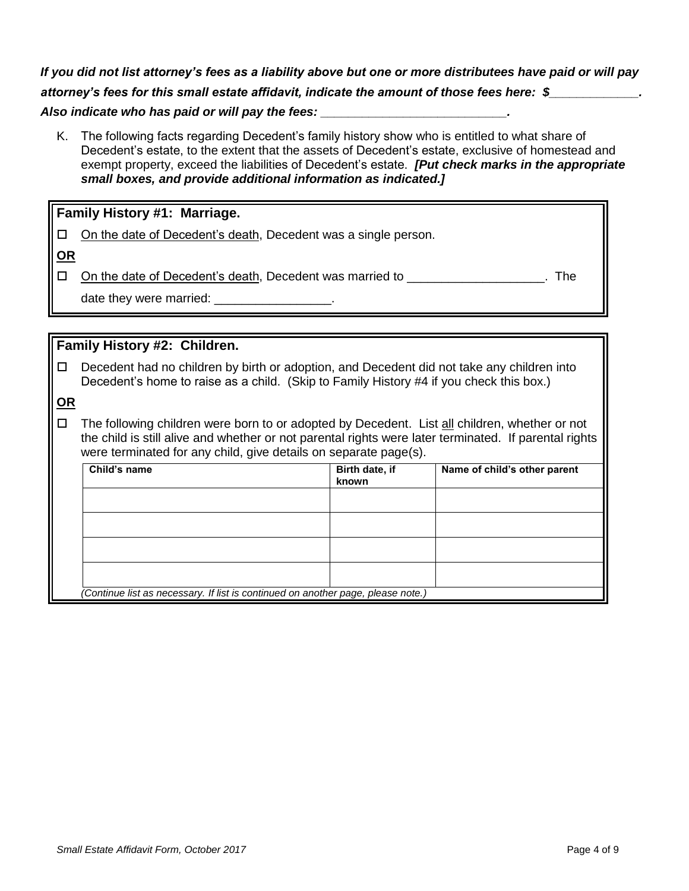*If you did not list attorney's fees as a liability above but one or more distributees have paid or will pay* 

*attorney's fees for this small estate affidavit, indicate the amount of those fees here: \$\_\_\_\_\_\_\_\_\_\_\_\_\_.* 

*Also indicate who has paid or will pay the fees: \_\_\_\_\_\_\_\_\_\_\_\_\_\_\_\_\_\_\_\_\_\_\_\_\_\_\_.*

K. The following facts regarding Decedent's family history show who is entitled to what share of Decedent's estate, to the extent that the assets of Decedent's estate, exclusive of homestead and exempt property, exceed the liabilities of Decedent's estate. *[Put check marks in the appropriate small boxes, and provide additional information as indicated.]*

#### **Family History #1: Marriage.**

 $\Box$  On the date of Decedent's death, Decedent was a single person.

**OR**

On the date of Decedent's death, Decedent was married to \_\_\_\_\_\_\_\_\_\_\_\_\_\_\_\_\_\_\_\_. The

date they were married:

**Family History #2: Children.** Decedent had no children by birth or adoption, and Decedent did not take any children into Decedent's home to raise as a child. (Skip to Family History #4 if you check this box.) **OR**

 $\Box$  The following children were born to or adopted by Decedent. List all children, whether or not the child is still alive and whether or not parental rights were later terminated. If parental rights were terminated for any child, give details on separate page(s).

| Child's name | Birth date, if<br>known                                                          | Name of child's other parent |
|--------------|----------------------------------------------------------------------------------|------------------------------|
|              |                                                                                  |                              |
|              |                                                                                  |                              |
|              |                                                                                  |                              |
|              |                                                                                  |                              |
|              | (Continue list as necessary. If list is continued on another page, please note.) |                              |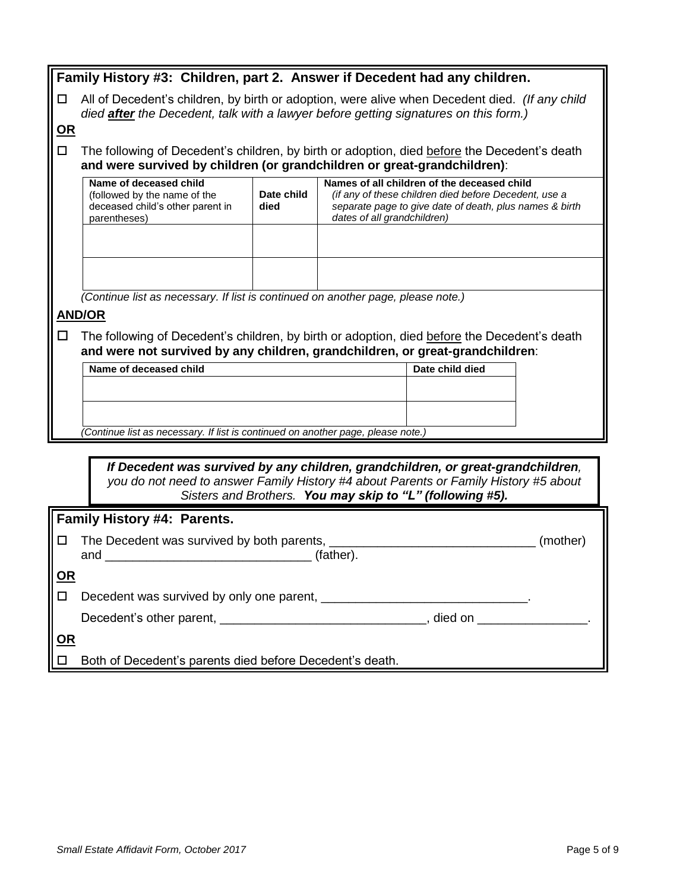|           | Family History #3: Children, part 2. Answer if Decedent had any children.                                                                                                                     |                    |                             |                                                                                                                                                                 |          |  |
|-----------|-----------------------------------------------------------------------------------------------------------------------------------------------------------------------------------------------|--------------------|-----------------------------|-----------------------------------------------------------------------------------------------------------------------------------------------------------------|----------|--|
| □         | All of Decedent's children, by birth or adoption, were alive when Decedent died. (If any child<br>died <b>after</b> the Decedent, talk with a lawyer before getting signatures on this form.) |                    |                             |                                                                                                                                                                 |          |  |
| $OR$      |                                                                                                                                                                                               |                    |                             |                                                                                                                                                                 |          |  |
| $\Box$    | The following of Decedent's children, by birth or adoption, died before the Decedent's death<br>and were survived by children (or grandchildren or great-grandchildren):                      |                    |                             |                                                                                                                                                                 |          |  |
|           | Name of deceased child<br>(followed by the name of the<br>deceased child's other parent in<br>parentheses)                                                                                    | Date child<br>died | dates of all grandchildren) | Names of all children of the deceased child<br>(if any of these children died before Decedent, use a<br>separate page to give date of death, plus names & birth |          |  |
|           |                                                                                                                                                                                               |                    |                             |                                                                                                                                                                 |          |  |
|           |                                                                                                                                                                                               |                    |                             |                                                                                                                                                                 |          |  |
|           | (Continue list as necessary. If list is continued on another page, please note.)                                                                                                              |                    |                             |                                                                                                                                                                 |          |  |
|           | <b>AND/OR</b>                                                                                                                                                                                 |                    |                             |                                                                                                                                                                 |          |  |
| $\Box$    | The following of Decedent's children, by birth or adoption, died before the Decedent's death<br>and were not survived by any children, grandchildren, or great-grandchildren:                 |                    |                             |                                                                                                                                                                 |          |  |
|           | Name of deceased child                                                                                                                                                                        |                    |                             | Date child died                                                                                                                                                 |          |  |
|           |                                                                                                                                                                                               |                    |                             |                                                                                                                                                                 |          |  |
|           |                                                                                                                                                                                               |                    |                             |                                                                                                                                                                 |          |  |
|           |                                                                                                                                                                                               |                    |                             |                                                                                                                                                                 |          |  |
|           | (Continue list as necessary. If list is continued on another page, please note.)                                                                                                              |                    |                             |                                                                                                                                                                 |          |  |
|           | If Decedent was survived by any children, grandchildren, or great-grandchildren,                                                                                                              |                    |                             |                                                                                                                                                                 |          |  |
|           | you do not need to answer Family History #4 about Parents or Family History #5 about                                                                                                          |                    |                             |                                                                                                                                                                 |          |  |
|           |                                                                                                                                                                                               |                    |                             | Sisters and Brothers. You may skip to "L" (following #5).                                                                                                       |          |  |
|           | Family History #4: Parents.                                                                                                                                                                   |                    |                             |                                                                                                                                                                 |          |  |
| ப         | The Decedent was survived by both parents,                                                                                                                                                    |                    |                             |                                                                                                                                                                 | (mother) |  |
|           | (father).<br>and                                                                                                                                                                              |                    |                             |                                                                                                                                                                 |          |  |
| <u>OR</u> |                                                                                                                                                                                               |                    |                             |                                                                                                                                                                 |          |  |
| □         |                                                                                                                                                                                               |                    |                             |                                                                                                                                                                 |          |  |
|           |                                                                                                                                                                                               |                    |                             |                                                                                                                                                                 |          |  |
| $OR$      |                                                                                                                                                                                               |                    |                             |                                                                                                                                                                 |          |  |
|           |                                                                                                                                                                                               |                    |                             |                                                                                                                                                                 |          |  |
|           | Both of Decedent's parents died before Decedent's death.                                                                                                                                      |                    |                             |                                                                                                                                                                 |          |  |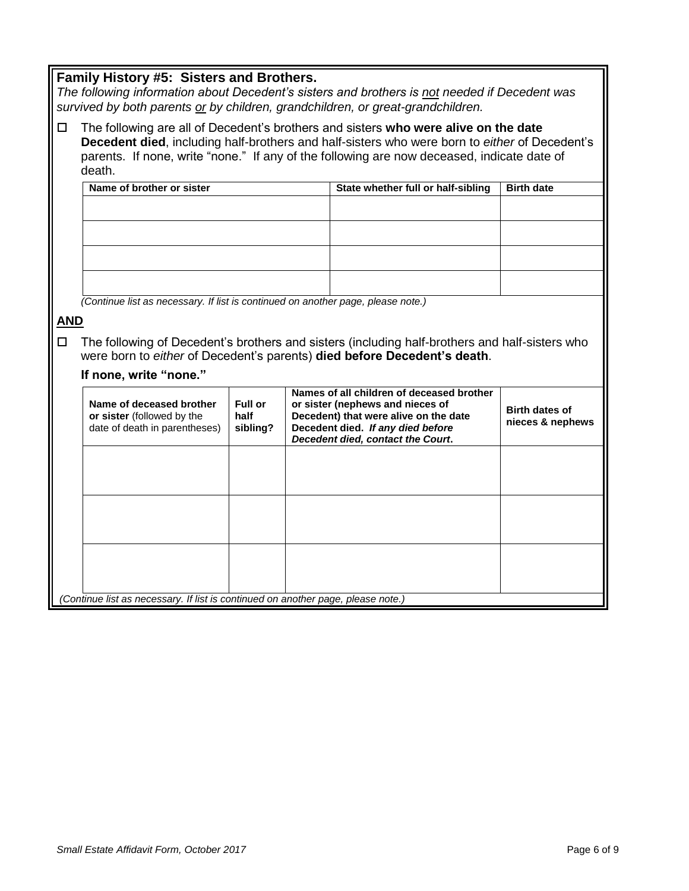|                      | Family History #5: Sisters and Brothers.                                                                   |                                    |                                                                                                                                                                                                                                                                                    |                                           |
|----------------------|------------------------------------------------------------------------------------------------------------|------------------------------------|------------------------------------------------------------------------------------------------------------------------------------------------------------------------------------------------------------------------------------------------------------------------------------|-------------------------------------------|
|                      |                                                                                                            |                                    | The following information about Decedent's sisters and brothers is not needed if Decedent was                                                                                                                                                                                      |                                           |
|                      |                                                                                                            |                                    | survived by both parents or by children, grandchildren, or great-grandchildren.                                                                                                                                                                                                    |                                           |
| $\Box$               | death.                                                                                                     |                                    | The following are all of Decedent's brothers and sisters who were alive on the date<br>Decedent died, including half-brothers and half-sisters who were born to either of Decedent's<br>parents. If none, write "none." If any of the following are now deceased, indicate date of |                                           |
|                      | Name of brother or sister                                                                                  |                                    | State whether full or half-sibling                                                                                                                                                                                                                                                 | <b>Birth date</b>                         |
|                      |                                                                                                            |                                    |                                                                                                                                                                                                                                                                                    |                                           |
|                      |                                                                                                            |                                    |                                                                                                                                                                                                                                                                                    |                                           |
|                      |                                                                                                            |                                    |                                                                                                                                                                                                                                                                                    |                                           |
|                      |                                                                                                            |                                    |                                                                                                                                                                                                                                                                                    |                                           |
| <b>AND</b><br>$\Box$ | (Continue list as necessary. If list is continued on another page, please note.)<br>If none, write "none." |                                    | The following of Decedent's brothers and sisters (including half-brothers and half-sisters who<br>were born to either of Decedent's parents) died before Decedent's death.                                                                                                         |                                           |
|                      |                                                                                                            |                                    | Names of all children of deceased brother                                                                                                                                                                                                                                          |                                           |
|                      | Name of deceased brother<br>or sister (followed by the<br>date of death in parentheses)                    | <b>Full or</b><br>half<br>sibling? | or sister (nephews and nieces of<br>Decedent) that were alive on the date<br>Decedent died. If any died before<br>Decedent died, contact the Court.                                                                                                                                | <b>Birth dates of</b><br>nieces & nephews |
|                      |                                                                                                            |                                    |                                                                                                                                                                                                                                                                                    |                                           |
|                      |                                                                                                            |                                    |                                                                                                                                                                                                                                                                                    |                                           |
|                      |                                                                                                            |                                    |                                                                                                                                                                                                                                                                                    |                                           |
|                      | (Continue list as necessary. If list is continued on another page, please note.)                           |                                    |                                                                                                                                                                                                                                                                                    |                                           |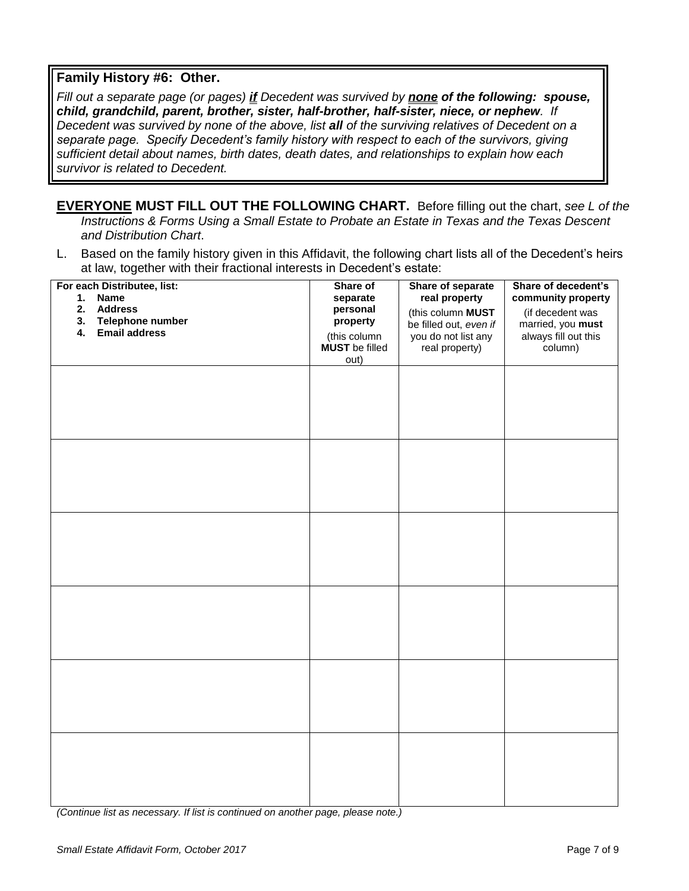# **Family History #6: Other.**

*Fill out a separate page (or pages) if Decedent was survived by none of the following: spouse, child, grandchild, parent, brother, sister, half-brother, half-sister, niece, or nephew. If Decedent was survived by none of the above, list all of the surviving relatives of Decedent on a separate page. Specify Decedent's family history with respect to each of the survivors, giving sufficient detail about names, birth dates, death dates, and relationships to explain how each survivor is related to Decedent.*

**EVERYONE MUST FILL OUT THE FOLLOWING CHART.** Before filling out the chart, *see L of the Instructions & Forms Using a Small Estate to Probate an Estate in Texas and the Texas Descent and Distribution Chart*.

L. Based on the family history given in this Affidavit, the following chart lists all of the Decedent's heirs at law, together with their fractional interests in Decedent's estate:

| For each Distributee, list:<br><b>Name</b><br>1. | Share of<br>separate           | Share of separate<br>real property          | Share of decedent's<br>community property |
|--------------------------------------------------|--------------------------------|---------------------------------------------|-------------------------------------------|
| <b>Address</b><br>2.<br>Telephone number<br>3.   | personal<br>property           | (this column MUST<br>be filled out, even if | (if decedent was<br>married, you must     |
| <b>Email address</b><br>4.                       | (this column<br>MUST be filled | you do not list any<br>real property)       | always fill out this<br>column)           |
|                                                  | out)                           |                                             |                                           |
|                                                  |                                |                                             |                                           |
|                                                  |                                |                                             |                                           |
|                                                  |                                |                                             |                                           |
|                                                  |                                |                                             |                                           |
|                                                  |                                |                                             |                                           |
|                                                  |                                |                                             |                                           |
|                                                  |                                |                                             |                                           |
|                                                  |                                |                                             |                                           |
|                                                  |                                |                                             |                                           |
|                                                  |                                |                                             |                                           |
|                                                  |                                |                                             |                                           |
|                                                  |                                |                                             |                                           |
|                                                  |                                |                                             |                                           |
|                                                  |                                |                                             |                                           |
|                                                  |                                |                                             |                                           |
|                                                  |                                |                                             |                                           |
|                                                  |                                |                                             |                                           |
|                                                  |                                |                                             |                                           |

*(Continue list as necessary. If list is continued on another page, please note.)*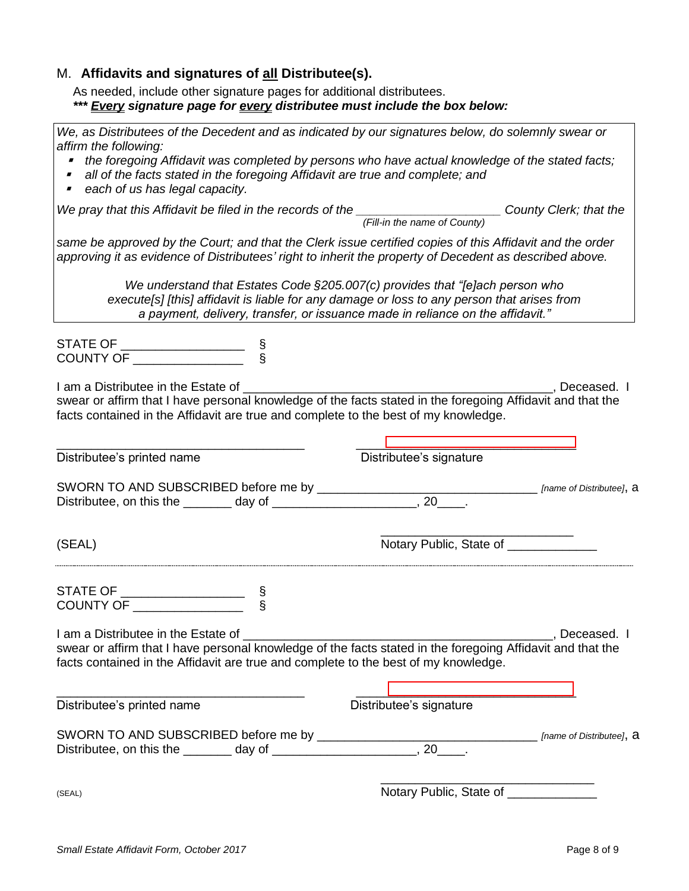## M. **Affidavits and signatures of all Distributee(s).**

As needed, include other signature pages for additional distributees. *\*\*\* Every signature page for every distributee must include the box below:*

*We, as Distributees of the Decedent and as indicated by our signatures below, do solemnly swear or affirm the following:*

- *the foregoing Affidavit was completed by persons who have actual knowledge of the stated facts;*
- $\blacksquare$ *all of the facts stated in the foregoing Affidavit are true and complete; and*
- $\blacksquare$ *each of us has legal capacity.*

*We pray that this Affidavit be filed in the records of the \_\_\_\_\_\_\_\_\_\_\_\_\_\_\_\_\_\_\_\_\_ County Clerk; that the (Fill-in the name of County)*

*same be approved by the Court; and that the Clerk issue certified copies of this Affidavit and the order approving it as evidence of Distributees' right to inherit the property of Decedent as described above.* 

*We understand that Estates Code §205.007(c) provides that "[e]ach person who execute[s] [this] affidavit is liable for any damage or loss to any person that arises from a payment, delivery, transfer, or issuance made in reliance on the affidavit."*

| I am a Distributee in the Estate of Theory of Theory and Theory and Theory and Theory and Theory and Theory and<br>facts contained in the Affidavit are true and complete to the best of my knowledge.                                   |                                       |  |
|------------------------------------------------------------------------------------------------------------------------------------------------------------------------------------------------------------------------------------------|---------------------------------------|--|
| Distributee's printed name                                                                                                                                                                                                               | Distributee's signature               |  |
|                                                                                                                                                                                                                                          |                                       |  |
| (SEAL)                                                                                                                                                                                                                                   | Notary Public, State of _____________ |  |
|                                                                                                                                                                                                                                          |                                       |  |
| I am a Distributee in the Estate of<br>swear or affirm that I have personal knowledge of the facts stated in the foregoing Affidavit and that the<br>facts contained in the Affidavit are true and complete to the best of my knowledge. |                                       |  |
| Distributee's printed name                                                                                                                                                                                                               | Distributee's signature               |  |
|                                                                                                                                                                                                                                          |                                       |  |

(SEAL) (SEAL) (SEAL)  $\blacksquare$ 

\_\_\_\_\_\_\_\_\_\_\_\_\_\_\_\_\_\_\_\_\_\_\_\_\_\_\_\_\_\_\_